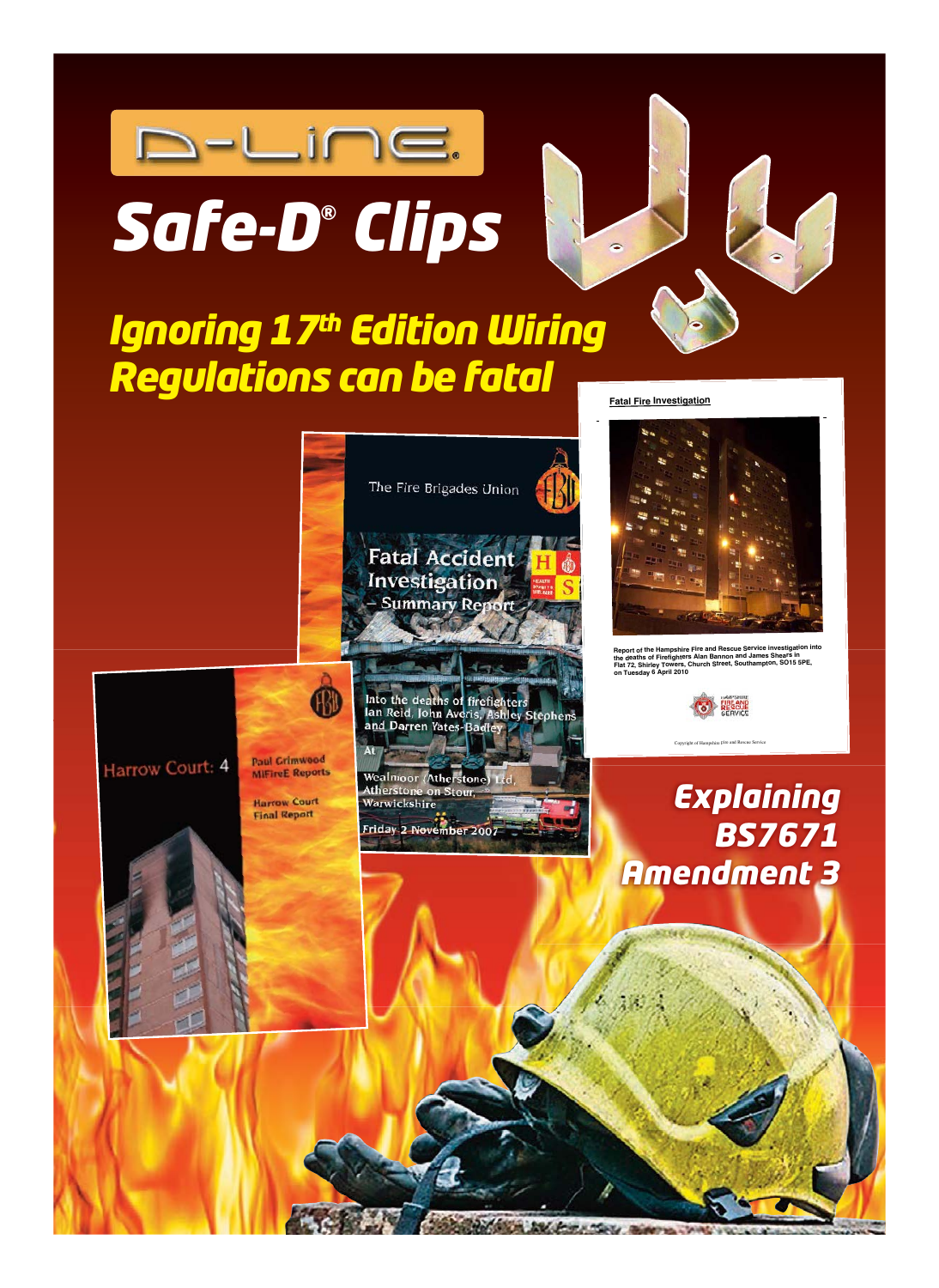



# *Ignoring 17th Edition Wiring Regulations can be fatal*

**Fatal Fire Investigation**

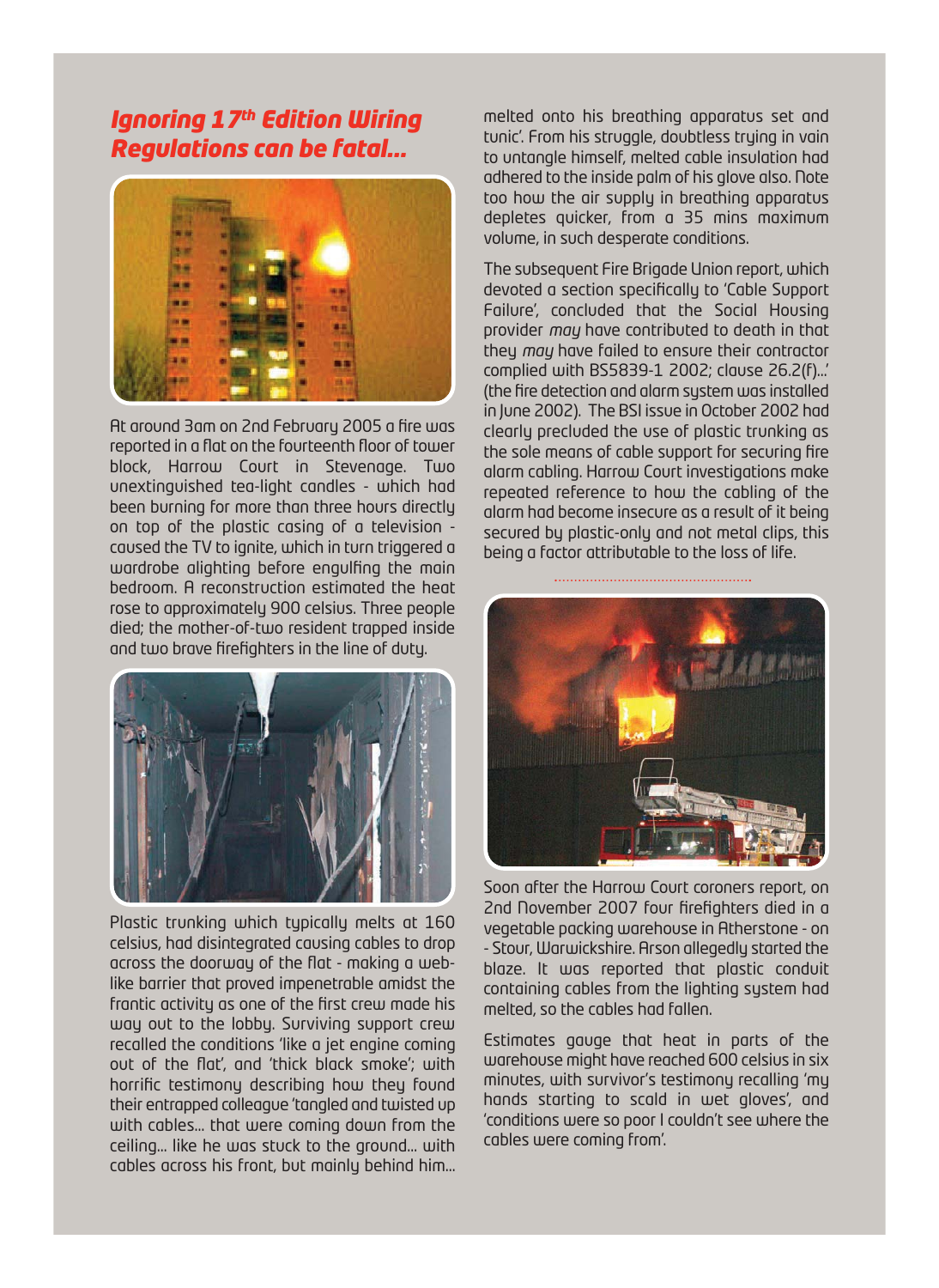# *Ignoring 17th Edition Wiring Regulations can be fatal...*



At around 3am on 2nd February 2005 a fire was reported in a flat on the fourteenth floor of tower block, Harrow Court in Stevenage. Two unextinguished tea-light candles - which had been burning for more than three hours directly on top of the plastic casing of a television caused the TV to ignite, which in turn triggered a wardrobe alighting before engulfing the main bedroom. A reconstruction estimated the heat rose to approximately 900 celsius. Three people died; the mother-of-two resident trapped inside and two brave firefighters in the line of duty.



Plastic trunking which typically melts at 160 celsius, had disintegrated causing cables to drop across the doorway of the flat - making a weblike barrier that proved impenetrable amidst the frantic activity as one of the first crew made his way out to the lobby. Surviving support crew recalled the conditions 'like a jet engine coming out of the flat', and 'thick black smoke'; with horrific testimony describing how they found their entrapped colleague 'tangled and twisted up with cables… that were coming down from the ceiling… like he was stuck to the ground… with cables across his front, but mainly behind him… melted onto his breathing apparatus set and tunic'. From his struggle, doubtless trying in vain to untangle himself, melted cable insulation had adhered to the inside palm of his glove also. Note too how the air supply in breathing apparatus depletes quicker, from a 35 mins maximum volume, in such desperate conditions.

The subsequent Fire Brigade Union report, which devoted a section specifically to 'Cable Support Failure', concluded that the Social Housing provider *may* have contributed to death in that they *may* have failed to ensure their contractor complied with BS5839-1 2002; clause 26.2(f)…' (the fire detection and alarm system was installed in June 2002). The BSI issue in October 2002 had clearly precluded the use of plastic trunking as the sole means of cable support for securing fire alarm cabling. Harrow Court investigations make repeated reference to how the cabling of the alarm had become insecure as a result of it being secured by plastic-only and not metal clips, this being a factor attributable to the loss of life.



Soon after the Harrow Court coroners report, on 2nd November 2007 four firefighters died in a vegetable packing warehouse in Atherstone - on - Stour, Warwickshire. Arson allegedly started the blaze. It was reported that plastic conduit containing cables from the lighting system had melted, so the cables had fallen.

Estimates gauge that heat in parts of the warehouse might have reached 600 celsius in six minutes, with survivor's testimony recalling 'my hands starting to scald in wet gloves', and 'conditions were so poor I couldn't see where the cables were coming from'.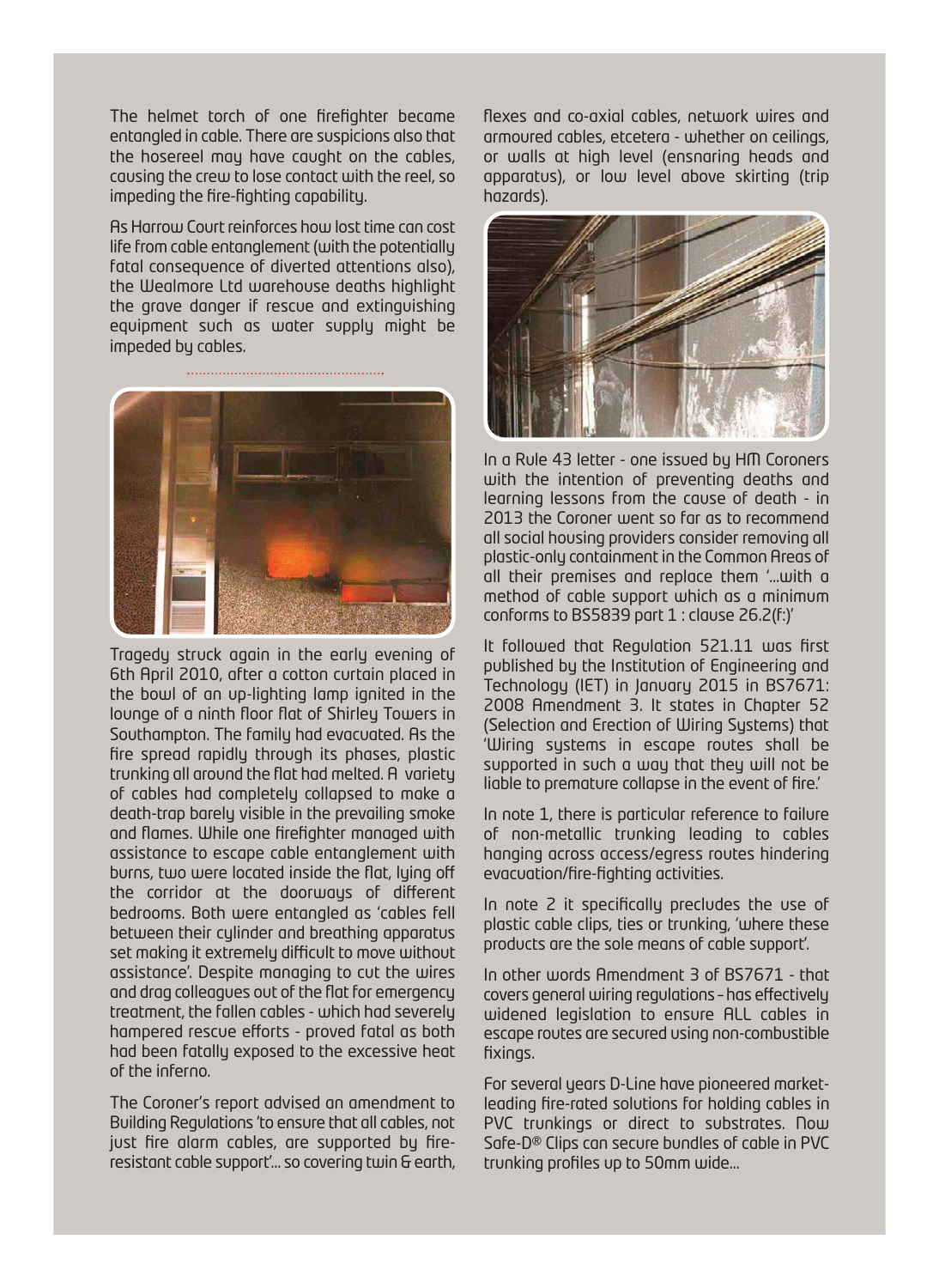The helmet torch of one firefighter became entangled in cable. There are suspicions also that the hosereel may have caught on the cables, causing the crew to lose contact with the reel, so impeding the fire-fighting capability.

As Harrow Court reinforces how lost time can cost life from cable entanglement (with the potentially fatal consequence of diverted attentions also), the Wealmore Ltd warehouse deaths highlight the grave danger if rescue and extinguishing equipment such as water supply might be impeded by cables.



Tragedy struck again in the early evening of 6th April 2010, after a cotton curtain placed in the bowl of an up-lighting lamp ignited in the lounge of a ninth floor flat of Shirley Towers in Southampton. The family had evacuated. As the fire spread rapidly through its phases, plastic trunking all around the flat had melted. A variety of cables had completely collapsed to make a death-trap barely visible in the prevailing smoke and flames. While one firefighter managed with assistance to escape cable entanglement with burns, two were located inside the flat, luing off the corridor at the doorways of different bedrooms. Both were entangled as 'cables fell between their cylinder and breathing apparatus set making it extremely difficult to move without assistance'. Despite managing to cut the wires and drag colleagues out of the flat for emergency treatment, the fallen cables - which had severely hampered rescue efforts - proved fatal as both had been fatally exposed to the excessive heat of the inferno.

The Coroner's report advised an amendment to Building Regulations 'to ensure that all cables, not just fire alarm cables, are supported by fireresistant cable support'… so covering twin & earth, flexes and co-axial cables, network wires and armoured cables, etcetera - whether on ceilings, or walls at high level (ensnaring heads and apparatus), or low level above skirting (trip hazards).



In a Rule 43 letter - one issued by HM Coroners with the intention of preventing deaths and learning lessons from the cause of death - in 2013 the Coroner went so far as to recommend all social housing providers consider removing all plastic-only containment in the Common Areas of all their premises and replace them '…with a method of cable support which as a minimum conforms to BS5839 part 1 : clause 26.2(f:)'

It followed that Regulation 521.11 was first published by the Institution of Engineering and Technology (IET) in January 2015 in BS7671: 2008 Amendment 3. It states in Chapter 52 (Selection and Erection of Wiring Systems) that 'Wiring systems in escape routes shall be supported in such a way that they will not be liable to premature collapse in the event of fire.'

In note 1, there is particular reference to failure of non-metallic trunking leading to cables hanging across access/egress routes hindering evacuation/fire-fighting activities.

In note 2 it specifically precludes the use of plastic cable clips, ties or trunking, 'where these products are the sole means of cable support'.

In other words Amendment 3 of BS7671 - that covers general wiring regulations – has effectively widened legislation to ensure ALL cables in escape routes are secured using non-combustible fixings.

For several years D-Line have pioneered marketleading fire-rated solutions for holding cables in PVC trunkings or direct to substrates. Now Safe-D® Clips can secure bundles of cable in PVC trunking profiles up to 50mm wide…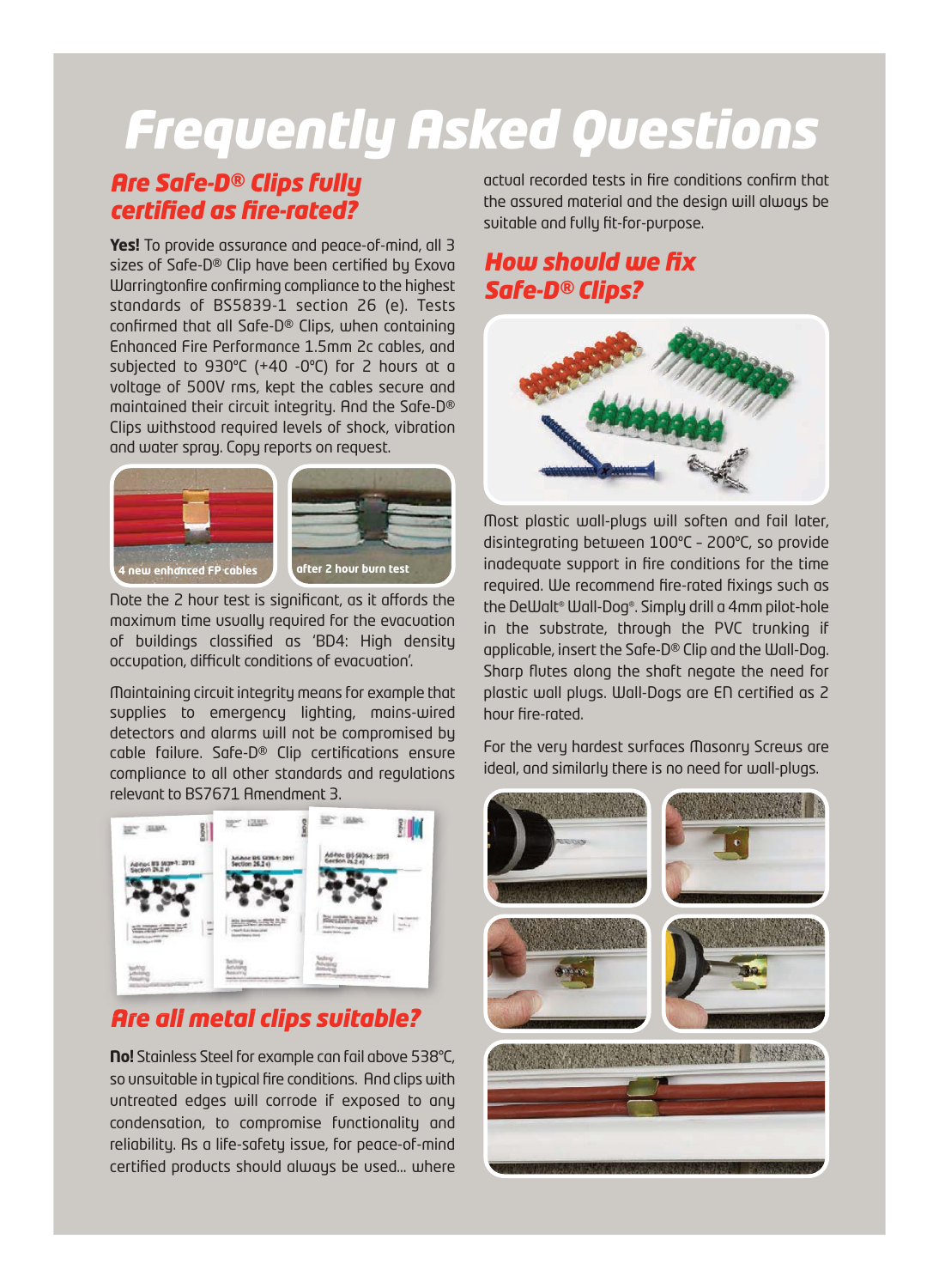# *Frequently Asked Questions*

#### *Are Safe-D® Clips fully certified as fire-rated?*

**Yes!** To provide assurance and peace-of-mind, all 3 sizes of Safe-D® Clip have been certified by Exova Warringtonfire confirming compliance to the highest standards of BS5839-1 section 26 (e). Tests confirmed that all Safe-D® Clips, when containing Enhanced Fire Performance 1.5mm 2c cables, and subjected to 930ºC (+40 -0ºC) for 2 hours at a voltage of 500V rms, kept the cables secure and maintained their circuit integrity. And the Safe-D® Clips withstood required levels of shock, vibration and water spray. Copy reports on request.



Note the 2 hour test is significant, as it affords the maximum time usually required for the evacuation of buildings classified as 'BD4: High density occupation, difficult conditions of evacuation'.

Maintaining circuit integrity means for example that supplies to emergency lighting, mains-wired detectors and alarms will not be compromised by cable failure. Safe-D® Clip certifications ensure compliance to all other standards and regulations relevant to BS7671 Amendment 3.



# *Are all metal clips suitable?*

**No!** Stainless Steel for example can fail above 538°C, so unsuitable in typical fire conditions. And clips with untreated edges will corrode if exposed to any condensation, to compromise functionality and reliability. As a life-safety issue, for peace-of-mind certified products should always be used… where actual recorded tests in fire conditions confirm that the assured material and the design will always be suitable and fully fit-for-purpose.

# *How should we fix Safe-D® Clips?*



Most plastic wall-plugs will soften and fail later, disintegrating between 100ºC – 200ºC, so provide inadequate support in fire conditions for the time required. We recommend fire-rated fixings such as the DeWalt® Wall-Dog®. Simply drill a 4mm pilot-hole in the substrate, through the PVC trunking if applicable, insert the Safe-D® Clip and the Wall-Dog. Sharp flutes along the shaft negate the need for plastic wall plugs. Wall-Dogs are EN certified as 2 hour fire-rated.

For the very hardest surfaces Masonry Screws are ideal, and similarly there is no need for wall-plugs.

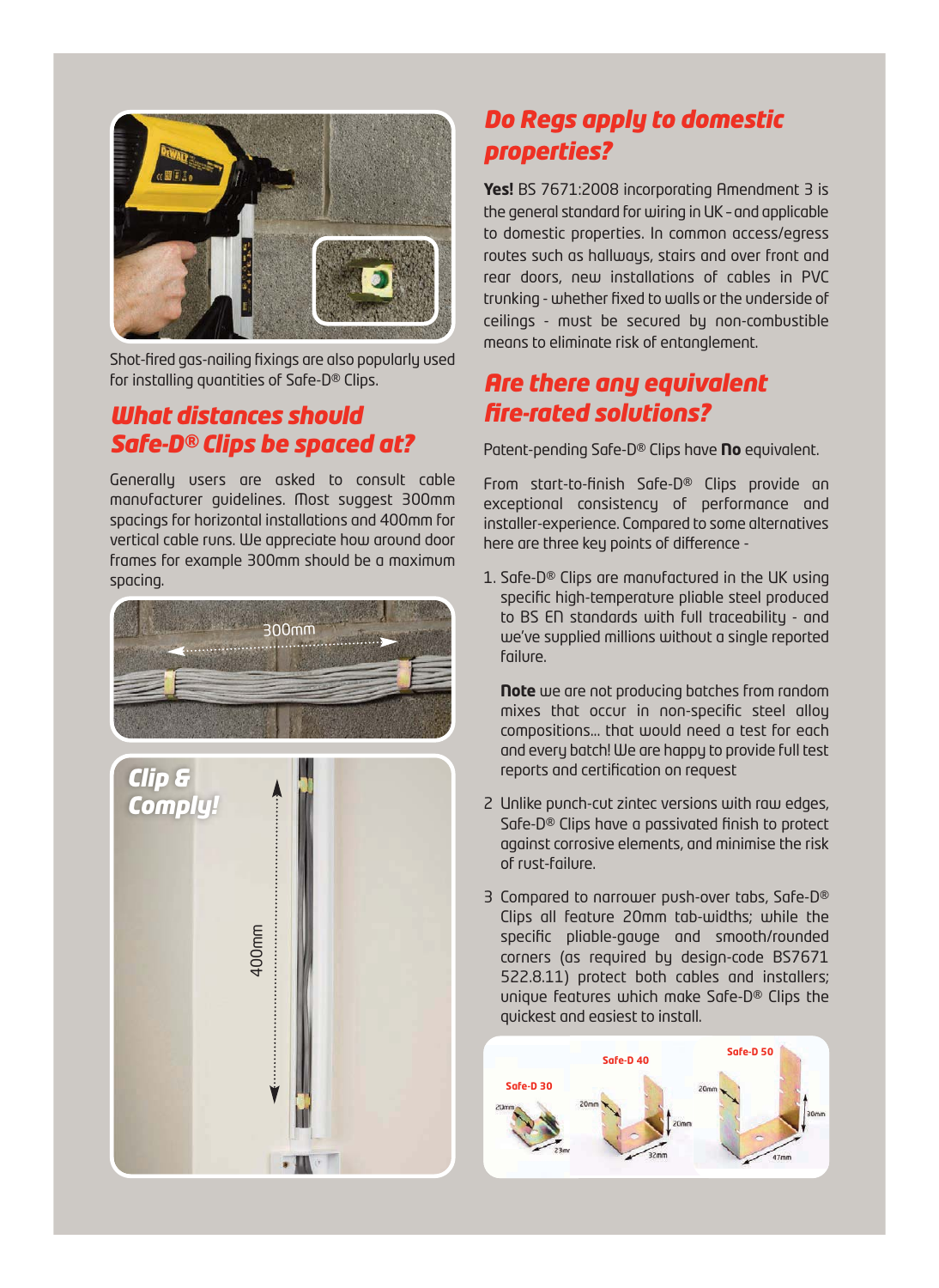

Shot-fired gas-nailing fixings are also popularly used for installing quantities of Safe-D® Clips.

#### *What distances should Safe-D® Clips be spaced at?*

Generally users are asked to consult cable manufacturer guidelines. Most suggest 300mm spacings for horizontal installations and 400mm for vertical cable runs. We appreciate how around door frames for example 300mm should be a maximum spacing.





# *Do Regs apply to domestic properties?*

**Yes!** BS 7671:2008 incorporating Amendment 3 is the general standard for wiring in UK – and applicable to domestic properties. In common access/egress routes such as hallways, stairs and over front and rear doors, new installations of cables in PVC trunking - whether fixed to walls or the underside of ceilings - must be secured by non-combustible means to eliminate risk of entanglement.

#### *Are there any equivalent fire-rated solutions?*

Patent-pending Safe-D® Clips have **No** equivalent.

From start-to-finish Safe-D® Clips provide an exceptional consistency of performance and installer-experience. Compared to some alternatives here are three key points of difference -

1. Safe-D® Clips are manufactured in the UK using specific high-temperature pliable steel produced to BS EN standards with full traceability - and we've supplied millions without a single reported failure.

**Note** we are not producing batches from random mixes that occur in non-specific steel alloy compositions... that would need a test for each and every batch! We are happy to provide full test reports and certification on request

- 2 Unlike punch-cut zintec versions with raw edges, Safe-D® Clips have a passivated finish to protect against corrosive elements, and minimise the risk of rust-failure.
- 3 Compared to narrower push-over tabs, Safe-D® Clips all feature 20mm tab-widths; while the specific pliable-gauge and smooth/rounded corners (as required by design-code BS7671 522.8.11) protect both cables and installers; unique features which make Safe-D® Clips the quickest and easiest to install.

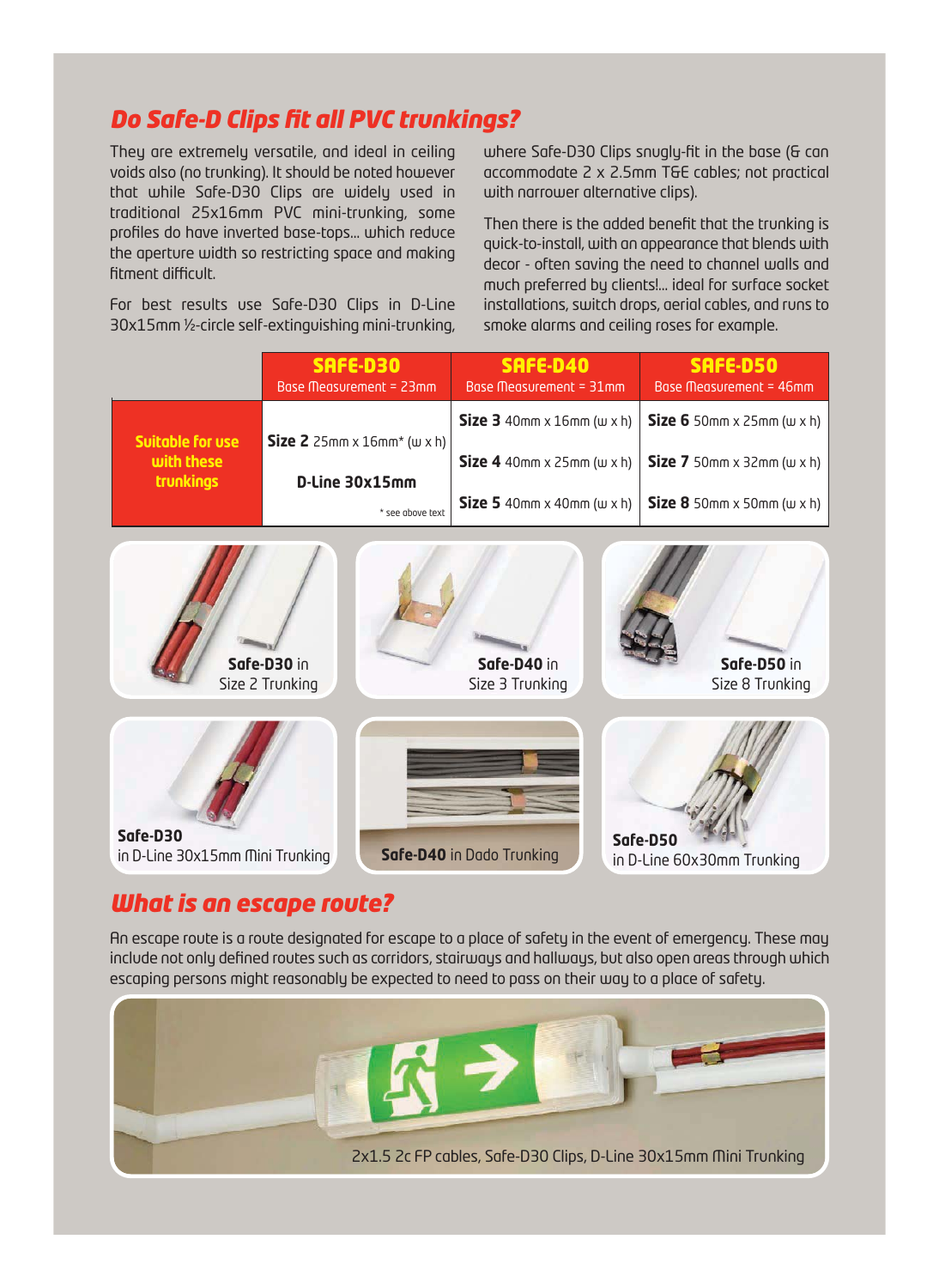# *Do Safe-D Clips fit all PVC trunkings?*

They are extremely versatile, and ideal in ceiling voids also (no trunking). It should be noted however that while Safe-D30 Clips are widely used in traditional 25x16mm PVC mini-trunking, some profiles do have inverted base-tops… which reduce the aperture width so restricting space and making fitment difficult.

For best results use Safe-D30 Clips in D-Line 30x15mm ½-circle self-extinguishing mini-trunking, where Safe-D30 Clips snugly-fit in the base (& can accommodate 2 x 2.5mm T&E cables; not practical with narrower alternative clips).

Then there is the added benefit that the trunking is quick-to-install, with an appearance that blends with decor - often saving the need to channel walls and much preferred by clients!… ideal for surface socket installations, switch drops, aerial cables, and runs to smoke alarms and ceiling roses for example.

|                                                                                                                    | <b>SAFE-D30</b>                        | SAFE-D40                                                | SAFE-D50                                                |
|--------------------------------------------------------------------------------------------------------------------|----------------------------------------|---------------------------------------------------------|---------------------------------------------------------|
|                                                                                                                    | Base Measurement = 23mm                | Base Measurement = 31mm                                 | Base Measurement = 46mm                                 |
| Suitable for use                                                                                                   | Size 2 $25mm \times 16mm^*$ (w $x h$ ) | Size $3$ 40mm x 16mm ( $w \times h$ )                   | <b>Size 6</b> 50mm $\times$ 25mm ( $\times$ $\times$ h) |
| with these                                                                                                         | D-Line 30x15mm                         | Size 4 40mm $x$ 25mm ( $w \times h$ )                   | Size $7$ 50mm x 32mm ( $w \times h$ )                   |
| <b>trunkings</b>                                                                                                   | * see above text                       | <b>Size 5</b> 40mm $\times$ 40mm ( $\times$ $\times$ h) | <b>Size 8</b> 50mm $\times$ 50mm ( $\times$ $\times$ h) |
|                                                                                                                    | Safe-D30 in                            | Safe-D40 in                                             | Safe-D50 in                                             |
|                                                                                                                    | Size 2 Trunking                        | Size 3 Trunking                                         | Size 8 Trunking                                         |
| Safe-D30<br>Safe-D50<br>Safe-D40 in Dado Trunking<br>in D-Line 30x15mm Mini Trunking<br>in D-Line 60x30mm Trunking |                                        |                                                         |                                                         |

# *What is an escape route?*

An escape route is a route designated for escape to a place of safety in the event of emergency. These may include not only defined routes such as corridors, stairways and hallways, but also open areas through which escaping persons might reasonably be expected to need to pass on their way to a place of safety.

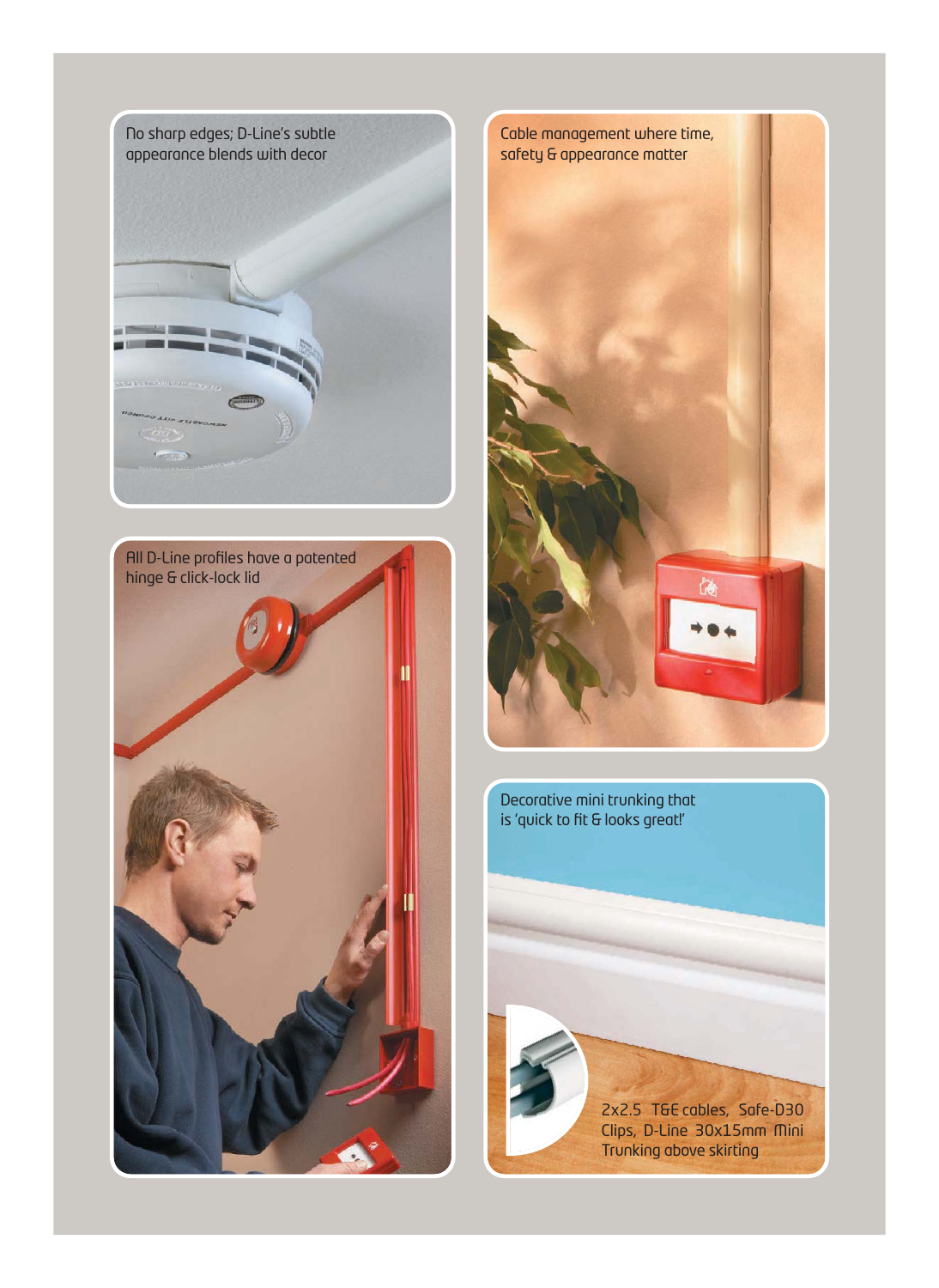